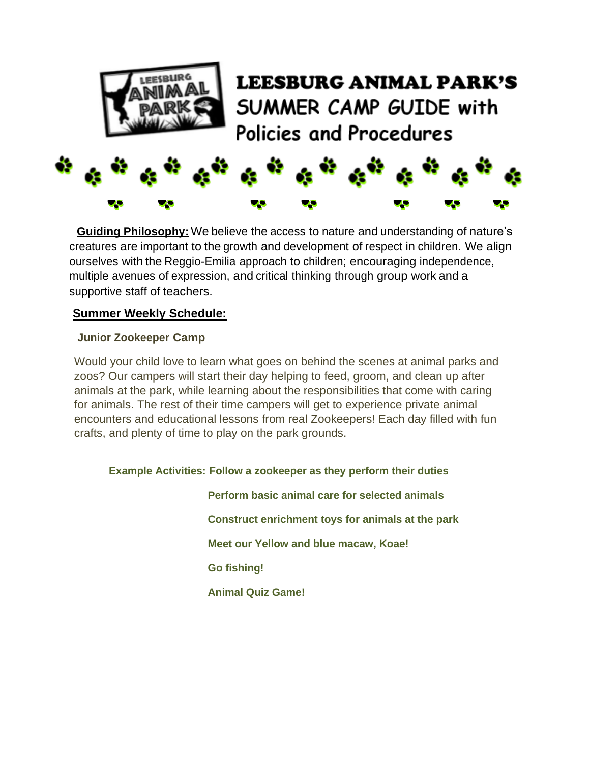

# **LEESBURG ANIMAL PARK'S** SUMMER CAMP GUIDE with Policies and Procedures



**Guiding Philosophy:**We believe the access to nature and understanding of nature's creatures are important to the growth and development of respect in children. We align ourselves with the Reggio-Emilia approach to children; encouraging independence, multiple avenues of expression, and critical thinking through group work and a supportive staff of teachers.

#### **Summer Weekly Schedule:**

#### **Junior Zookeeper Camp**

Would your child love to learn what goes on behind the scenes at animal parks and zoos? Our campers will start their day helping to feed, groom, and clean up after animals at the park, while learning about the responsibilities that come with caring for animals. The rest of their time campers will get to experience private animal encounters and educational lessons from real Zookeepers! Each day filled with fun crafts, and plenty of time to play on the park grounds.

#### **Example Activities: Follow a zookeeper as they perform their duties**

 **Perform basic animal care for selected animals Construct enrichment toys for animals at the park Meet our Yellow and blue macaw, Koae! Go fishing! Animal Quiz Game!**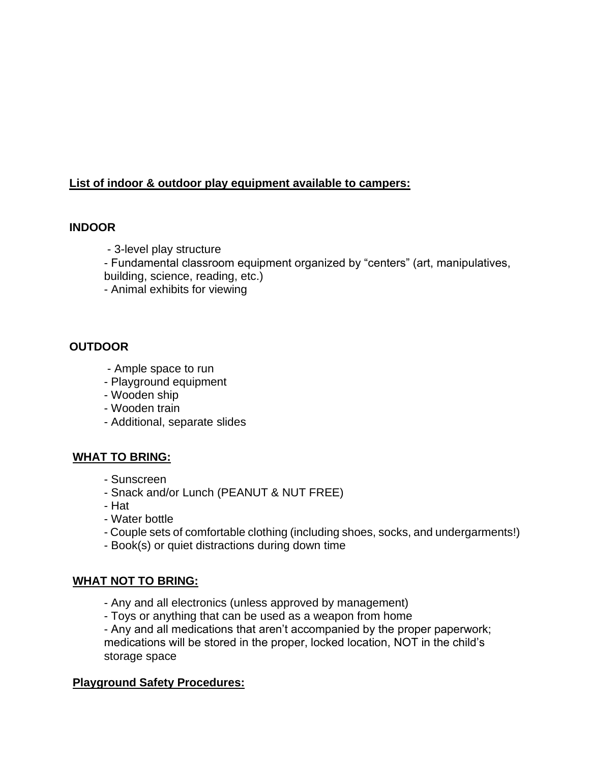## **List of indoor & outdoor play equipment available to campers:**

#### **INDOOR**

- 3-level play structure

- Fundamental classroom equipment organized by "centers" (art, manipulatives, building, science, reading, etc.)

- Animal exhibits for viewing

## **OUTDOOR**

- Ample space to run
- Playground equipment
- Wooden ship
- Wooden train
- Additional, separate slides

#### **WHAT TO BRING:**

- Sunscreen
- Snack and/or Lunch (PEANUT & NUT FREE)
- Hat
- Water bottle
- Couple sets of comfortable clothing (including shoes, socks, and undergarments!)
- Book(s) or quiet distractions during down time

#### **WHAT NOT TO BRING:**

- Any and all electronics (unless approved by management)
- Toys or anything that can be used as a weapon from home

- Any and all medications that aren't accompanied by the proper paperwork; medications will be stored in the proper, locked location, NOT in the child's storage space

#### **Playground Safety Procedures:**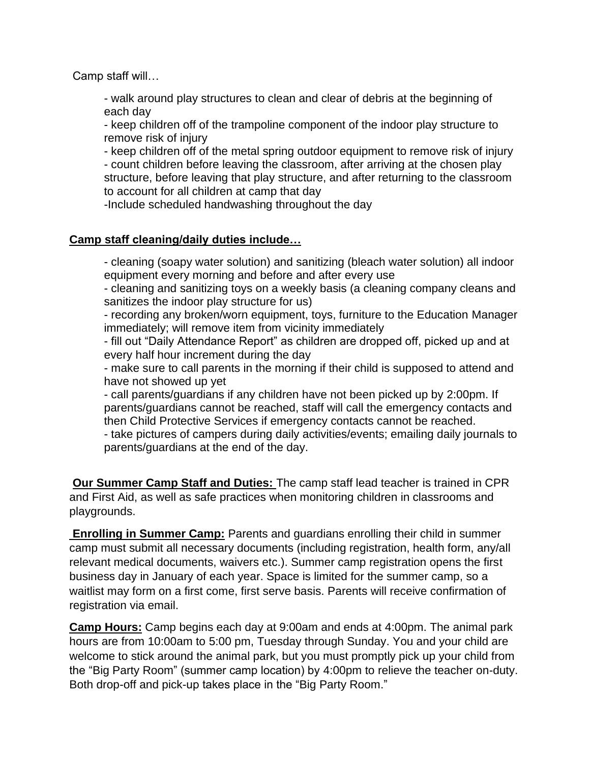Camp staff will…

- walk around play structures to clean and clear of debris at the beginning of each day

- keep children off of the trampoline component of the indoor play structure to remove risk of injury

- keep children off of the metal spring outdoor equipment to remove risk of injury

- count children before leaving the classroom, after arriving at the chosen play structure, before leaving that play structure, and after returning to the classroom to account for all children at camp that day

-Include scheduled handwashing throughout the day

#### **Camp staff cleaning/daily duties include…**

- cleaning (soapy water solution) and sanitizing (bleach water solution) all indoor equipment every morning and before and after every use

- cleaning and sanitizing toys on a weekly basis (a cleaning company cleans and sanitizes the indoor play structure for us)

- recording any broken/worn equipment, toys, furniture to the Education Manager immediately; will remove item from vicinity immediately

- fill out "Daily Attendance Report" as children are dropped off, picked up and at every half hour increment during the day

- make sure to call parents in the morning if their child is supposed to attend and have not showed up yet

- call parents/guardians if any children have not been picked up by 2:00pm. If parents/guardians cannot be reached, staff will call the emergency contacts and then Child Protective Services if emergency contacts cannot be reached.

- take pictures of campers during daily activities/events; emailing daily journals to parents/guardians at the end of the day.

**Our Summer Camp Staff and Duties:** The camp staff lead teacher is trained in CPR and First Aid, as well as safe practices when monitoring children in classrooms and playgrounds.

**Enrolling in Summer Camp:** Parents and guardians enrolling their child in summer camp must submit all necessary documents (including registration, health form, any/all relevant medical documents, waivers etc.). Summer camp registration opens the first business day in January of each year. Space is limited for the summer camp, so a waitlist may form on a first come, first serve basis. Parents will receive confirmation of registration via email.

**Camp Hours:** Camp begins each day at 9:00am and ends at 4:00pm. The animal park hours are from 10:00am to 5:00 pm, Tuesday through Sunday. You and your child are welcome to stick around the animal park, but you must promptly pick up your child from the "Big Party Room" (summer camp location) by 4:00pm to relieve the teacher on-duty. Both drop-off and pick-up takes place in the "Big Party Room."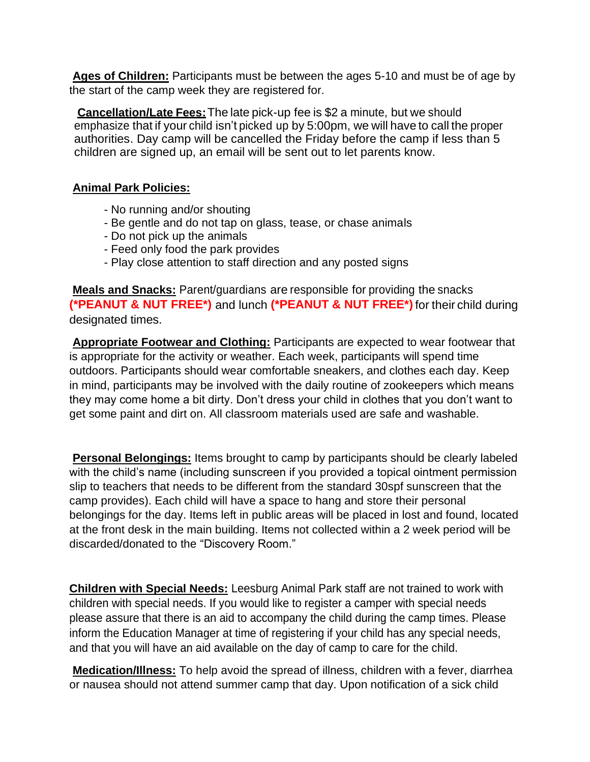**Ages of Children:** Participants must be between the ages 5-10 and must be of age by the start of the camp week they are registered for.

**Cancellation/Late Fees:**The late pick-up fee is \$2 a minute, but we should emphasize that if your child isn't picked up by 5:00pm, we will have to call the proper authorities. Day camp will be cancelled the Friday before the camp if less than 5 children are signed up, an email will be sent out to let parents know.

#### **Animal Park Policies:**

- No running and/or shouting
- Be gentle and do not tap on glass, tease, or chase animals
- Do not pick up the animals
- Feed only food the park provides
- Play close attention to staff direction and any posted signs

**Meals and Snacks:** Parent/guardians are responsible for providing the snacks **(\*PEANUT & NUT FREE\*)** and lunch **(\*PEANUT & NUT FREE\*)** for their child during designated times.

**Appropriate Footwear and Clothing:** Participants are expected to wear footwear that is appropriate for the activity or weather. Each week, participants will spend time outdoors. Participants should wear comfortable sneakers, and clothes each day. Keep in mind, participants may be involved with the daily routine of zookeepers which means they may come home a bit dirty. Don't dress your child in clothes that you don't want to get some paint and dirt on. All classroom materials used are safe and washable.

**Personal Belongings:** Items brought to camp by participants should be clearly labeled with the child's name (including sunscreen if you provided a topical ointment permission slip to teachers that needs to be different from the standard 30spf sunscreen that the camp provides). Each child will have a space to hang and store their personal belongings for the day. Items left in public areas will be placed in lost and found, located at the front desk in the main building. Items not collected within a 2 week period will be discarded/donated to the "Discovery Room."

**Children with Special Needs:** Leesburg Animal Park staff are not trained to work with children with special needs. If you would like to register a camper with special needs please assure that there is an aid to accompany the child during the camp times. Please inform the Education Manager at time of registering if your child has any special needs, and that you will have an aid available on the day of camp to care for the child.

**Medication/Illness:** To help avoid the spread of illness, children with a fever, diarrhea or nausea should not attend summer camp that day. Upon notification of a sick child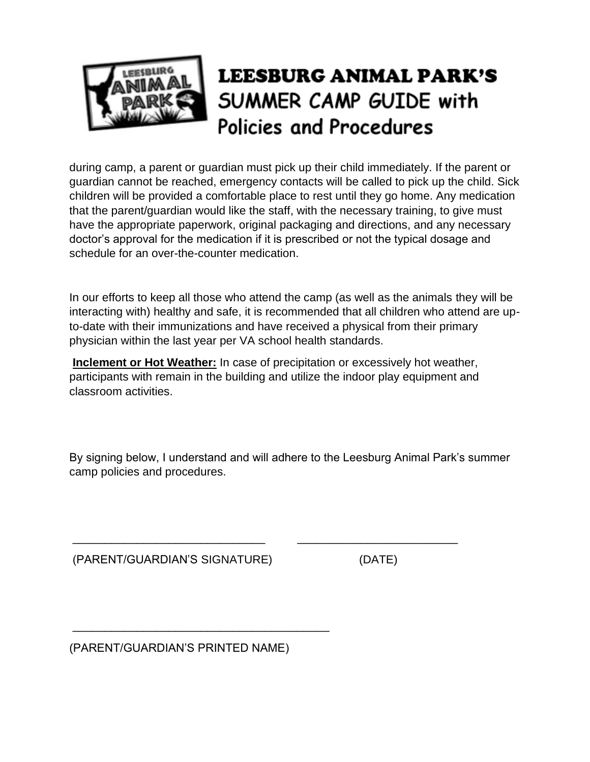

# **LEESBURG ANIMAL PARK'S** SUMMER CAMP GUIDE with Policies and Procedures

during camp, a parent or guardian must pick up their child immediately. If the parent or guardian cannot be reached, emergency contacts will be called to pick up the child. Sick children will be provided a comfortable place to rest until they go home. Any medication that the parent/guardian would like the staff, with the necessary training, to give must have the appropriate paperwork, original packaging and directions, and any necessary doctor's approval for the medication if it is prescribed or not the typical dosage and schedule for an over-the-counter medication.

In our efforts to keep all those who attend the camp (as well as the animals they will be interacting with) healthy and safe, it is recommended that all children who attend are upto-date with their immunizations and have received a physical from their primary physician within the last year per VA school health standards.

**Inclement or Hot Weather:** In case of precipitation or excessively hot weather, participants with remain in the building and utilize the indoor play equipment and classroom activities.

By signing below, I understand and will adhere to the Leesburg Animal Park's summer camp policies and procedures.

\_\_\_\_\_\_\_\_\_\_\_\_\_\_\_\_\_\_\_\_\_\_\_\_\_\_\_\_\_\_ \_\_\_\_\_\_\_\_\_\_\_\_\_\_\_\_\_\_\_\_\_\_\_\_\_

(PARENT/GUARDIAN'S SIGNATURE) (DATE)

(PARENT/GUARDIAN'S PRINTED NAME)

\_\_\_\_\_\_\_\_\_\_\_\_\_\_\_\_\_\_\_\_\_\_\_\_\_\_\_\_\_\_\_\_\_\_\_\_\_\_\_\_